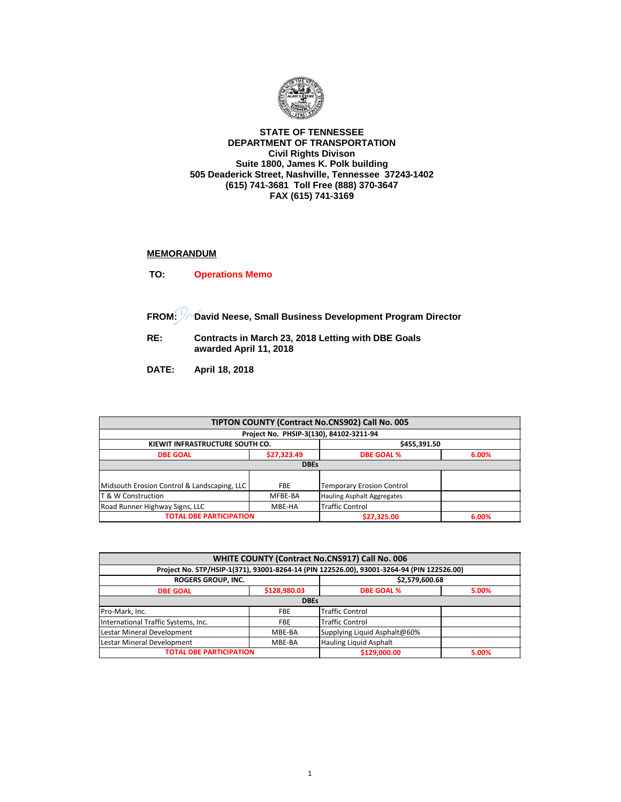

## **STATE OF TENNESSEE DEPARTMENT OF TRANSPORTATION Civil Rights Divison Suite 1800, James K. Polk building 505 Deaderick Street, Nashville, Tennessee 37243-1402 (615) 741-3681 Toll Free (888) 370-3647 FAX (615) 741-3169**

## **MEMORANDUM**

**TO: Operations Memo** 

**FROM: David Neese, Small Business Development Program Director**

**RE: Contracts in March 23, 2018 Letting with DBE Goals awarded April 11, 2018** 

**DATE: April 18, 2018**

| TIPTON COUNTY (Contract No.CNS902) Call No. 005                    |                                                 |                                         |       |  |  |
|--------------------------------------------------------------------|-------------------------------------------------|-----------------------------------------|-------|--|--|
|                                                                    |                                                 | Project No. PHSIP-3(130), 84102-3211-94 |       |  |  |
|                                                                    | \$455,391.50<br>KIEWIT INFRASTRUCTURE SOUTH CO. |                                         |       |  |  |
| <b>DBE GOAL</b>                                                    | \$27,323.49                                     | <b>DBE GOAL %</b>                       | 6.00% |  |  |
| <b>DBEs</b>                                                        |                                                 |                                         |       |  |  |
|                                                                    |                                                 |                                         |       |  |  |
| Midsouth Erosion Control & Landscaping, LLC                        | <b>FBE</b>                                      | <b>Temporary Erosion Control</b>        |       |  |  |
| T & W Construction                                                 | MFBE-BA                                         | <b>Hauling Asphalt Aggregates</b>       |       |  |  |
| <b>Traffic Control</b><br>Road Runner Highway Signs, LLC<br>MBE-HA |                                                 |                                         |       |  |  |
| <b>TOTAL DBE PARTICIPATION</b>                                     |                                                 | \$27,325.00                             | 6.00% |  |  |

| WHITE COUNTY (Contract No.CNS917) Call No. 006                 |                                                                                           |                            |  |  |  |  |
|----------------------------------------------------------------|-------------------------------------------------------------------------------------------|----------------------------|--|--|--|--|
|                                                                | Project No. STP/HSIP-1(371), 93001-8264-14 (PIN 122526.00), 93001-3264-94 (PIN 122526.00) |                            |  |  |  |  |
| <b>ROGERS GROUP, INC.</b>                                      |                                                                                           | \$2,579,600.68             |  |  |  |  |
| <b>DBE GOAL</b>                                                | \$128,980.03                                                                              | <b>DBE GOAL %</b><br>5.00% |  |  |  |  |
|                                                                | <b>DBEs</b>                                                                               |                            |  |  |  |  |
| Pro-Mark, Inc.                                                 | <b>FBE</b>                                                                                | <b>Traffic Control</b>     |  |  |  |  |
| International Traffic Systems, Inc.                            | <b>FBE</b>                                                                                | <b>Traffic Control</b>     |  |  |  |  |
| Lestar Mineral Development                                     | Supplying Liquid Asphalt@60%<br>MBE-BA                                                    |                            |  |  |  |  |
| Lestar Mineral Development<br>Hauling Liquid Asphalt<br>MBE-BA |                                                                                           |                            |  |  |  |  |
| <b>TOTAL DBE PARTICIPATION</b><br>\$129,000.00<br>5.00%        |                                                                                           |                            |  |  |  |  |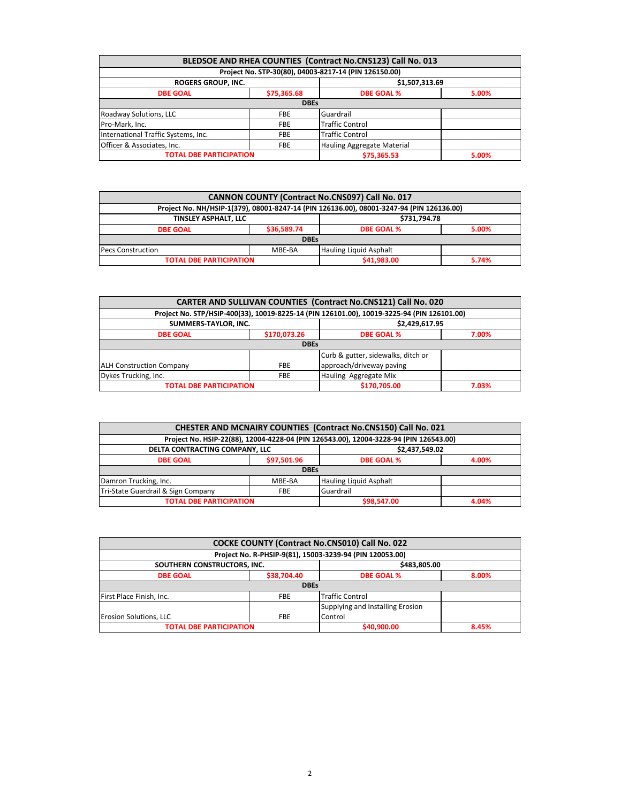| BLEDSOE AND RHEA COUNTIES (Contract No.CNS123) Call No. 013 |                                          |                                                       |       |  |  |
|-------------------------------------------------------------|------------------------------------------|-------------------------------------------------------|-------|--|--|
|                                                             |                                          | Project No. STP-30(80), 04003-8217-14 (PIN 126150.00) |       |  |  |
| <b>ROGERS GROUP, INC.</b>                                   |                                          | \$1,507,313.69                                        |       |  |  |
| <b>DBE GOAL</b>                                             | \$75,365.68                              | <b>DBE GOAL %</b><br>5.00%                            |       |  |  |
|                                                             | <b>DBEs</b>                              |                                                       |       |  |  |
| Roadway Solutions, LLC                                      | <b>FBE</b>                               | Guardrail                                             |       |  |  |
| Pro-Mark, Inc.                                              | <b>FBE</b>                               | <b>Traffic Control</b>                                |       |  |  |
| International Traffic Systems, Inc.                         | <b>FBE</b>                               | <b>Traffic Control</b>                                |       |  |  |
| Officer & Associates, Inc.                                  | Hauling Aggregate Material<br><b>FBE</b> |                                                       |       |  |  |
| <b>TOTAL DBE PARTICIPATION</b>                              |                                          | \$75,365.53                                           | 5.00% |  |  |

| CANNON COUNTY (Contract No.CNS097) Call No. 017                     |             |                                                                                          |       |  |  |
|---------------------------------------------------------------------|-------------|------------------------------------------------------------------------------------------|-------|--|--|
|                                                                     |             | Project No. NH/HSIP-1(379), 08001-8247-14 (PIN 126136.00), 08001-3247-94 (PIN 126136.00) |       |  |  |
| \$731,794.78<br>TINSLEY ASPHALT. LLC                                |             |                                                                                          |       |  |  |
| <b>DBE GOAL</b>                                                     | \$36,589.74 | <b>DBE GOAL %</b>                                                                        | 5.00% |  |  |
| <b>DBEs</b>                                                         |             |                                                                                          |       |  |  |
| <b>Hauling Liquid Asphalt</b><br><b>Pecs Construction</b><br>MBE-BA |             |                                                                                          |       |  |  |
| <b>TOTAL DBE PARTICIPATION</b>                                      |             | \$41,983.00                                                                              | 5.74% |  |  |

| <b>CARTER AND SULLIVAN COUNTIES (Contract No.CNS121) Call No. 020</b> |              |                                                                                            |       |  |  |
|-----------------------------------------------------------------------|--------------|--------------------------------------------------------------------------------------------|-------|--|--|
|                                                                       |              | Project No. STP/HSIP-400(33), 10019-8225-14 (PIN 126101.00), 10019-3225-94 (PIN 126101.00) |       |  |  |
| SUMMERS-TAYLOR, INC.                                                  |              | \$2,429,617.95                                                                             |       |  |  |
| <b>DBE GOAL</b>                                                       | \$170,073.26 | <b>DBE GOAL %</b><br>7.00%                                                                 |       |  |  |
|                                                                       | <b>DBEs</b>  |                                                                                            |       |  |  |
| Curb & gutter, sidewalks, ditch or                                    |              |                                                                                            |       |  |  |
| <b>ALH Construction Company</b>                                       | <b>FBE</b>   | approach/driveway paving                                                                   |       |  |  |
| Dykes Trucking, Inc.<br>Hauling Aggregate Mix<br><b>FBE</b>           |              |                                                                                            |       |  |  |
| <b>TOTAL DBE PARTICIPATION</b>                                        |              | \$170,705.00                                                                               | 7.03% |  |  |

| CHESTER AND MCNAIRY COUNTIES (Contract No.CNS150) Call No. 021 |                                                  |                                                                                       |       |  |  |
|----------------------------------------------------------------|--------------------------------------------------|---------------------------------------------------------------------------------------|-------|--|--|
|                                                                |                                                  | Project No. HSIP-22(88), 12004-4228-04 (PIN 126543.00), 12004-3228-94 (PIN 126543.00) |       |  |  |
|                                                                | DELTA CONTRACTING COMPANY, LLC<br>\$2,437,549.02 |                                                                                       |       |  |  |
| <b>DBE GOAL</b>                                                | \$97,501.96                                      | <b>DBE GOAL %</b><br>4.00%                                                            |       |  |  |
|                                                                | <b>DBEs</b>                                      |                                                                                       |       |  |  |
| Damron Trucking, Inc.                                          | MBE-BA                                           | Hauling Liquid Asphalt                                                                |       |  |  |
| Tri-State Guardrail & Sign Company<br>Guardrail<br><b>FBE</b>  |                                                  |                                                                                       |       |  |  |
| <b>TOTAL DBE PARTICIPATION</b>                                 |                                                  | \$98.547.00                                                                           | 4.04% |  |  |

| COCKE COUNTY (Contract No.CNS010) Call No. 022                   |             |                                                          |       |  |  |
|------------------------------------------------------------------|-------------|----------------------------------------------------------|-------|--|--|
|                                                                  |             | Project No. R-PHSIP-9(81), 15003-3239-94 (PIN 120053.00) |       |  |  |
| SOUTHERN CONSTRUCTORS, INC.                                      |             | \$483,805.00                                             |       |  |  |
| <b>DBE GOAL</b>                                                  | \$38,704.40 | <b>DBE GOAL %</b><br>8.00%                               |       |  |  |
|                                                                  | <b>DBEs</b> |                                                          |       |  |  |
| <b>Traffic Control</b><br>First Place Finish, Inc.<br><b>FBE</b> |             |                                                          |       |  |  |
| Supplying and Installing Erosion                                 |             |                                                          |       |  |  |
| Erosion Solutions, LLC<br>Control<br><b>FBE</b>                  |             |                                                          |       |  |  |
| <b>TOTAL DBE PARTICIPATION</b>                                   |             | \$40,900.00                                              | 8.45% |  |  |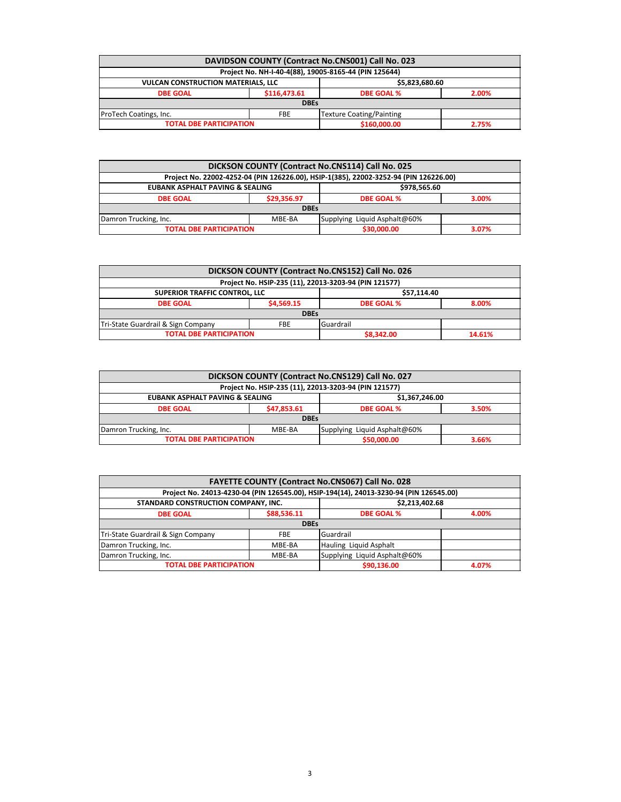| DAVIDSON COUNTY (Contract No.CNS001) Call No. 023           |              |                                                       |       |  |  |
|-------------------------------------------------------------|--------------|-------------------------------------------------------|-------|--|--|
|                                                             |              | Project No. NH-I-40-4(88), 19005-8165-44 (PIN 125644) |       |  |  |
| <b>VULCAN CONSTRUCTION MATERIALS, LLC</b><br>\$5,823,680.60 |              |                                                       |       |  |  |
| <b>DBE GOAL</b>                                             | \$116,473.61 | <b>DBE GOAL %</b><br>2.00%                            |       |  |  |
| <b>DBEs</b>                                                 |              |                                                       |       |  |  |
| Texture Coating/Painting<br>ProTech Coatings, Inc.<br>FBE   |              |                                                       |       |  |  |
| <b>TOTAL DBE PARTICIPATION</b>                              |              | \$160,000.00                                          | 2.75% |  |  |

| DICKSON COUNTY (Contract No.CNS114) Call No. 025                |                                                            |                                                                                       |  |  |  |
|-----------------------------------------------------------------|------------------------------------------------------------|---------------------------------------------------------------------------------------|--|--|--|
|                                                                 |                                                            | Project No. 22002-4252-04 (PIN 126226.00), HSIP-1(385), 22002-3252-94 (PIN 126226.00) |  |  |  |
|                                                                 | <b>EUBANK ASPHALT PAVING &amp; SEALING</b><br>\$978,565.60 |                                                                                       |  |  |  |
| <b>DBE GOAL</b>                                                 | \$29.356.97                                                | <b>DBE GOAL %</b><br>3.00%                                                            |  |  |  |
|                                                                 | <b>DBEs</b>                                                |                                                                                       |  |  |  |
| Supplying Liquid Asphalt@60%<br>Damron Trucking, Inc.<br>MBE-BA |                                                            |                                                                                       |  |  |  |
| <b>TOTAL DBE PARTICIPATION</b><br>\$30,000.00<br>3.07%          |                                                            |                                                                                       |  |  |  |
|                                                                 |                                                            |                                                                                       |  |  |  |

| DICKSON COUNTY (Contract No.CNS152) Call No. 026    |                                                       |           |                            |        |  |  |
|-----------------------------------------------------|-------------------------------------------------------|-----------|----------------------------|--------|--|--|
|                                                     | Project No. HSIP-235 (11), 22013-3203-94 (PIN 121577) |           |                            |        |  |  |
| <b>SUPERIOR TRAFFIC CONTROL. LLC</b><br>\$57.114.40 |                                                       |           |                            |        |  |  |
| <b>DBE GOAL</b>                                     | \$4,569.15                                            |           | <b>DBE GOAL %</b><br>8.00% |        |  |  |
|                                                     | <b>DBEs</b>                                           |           |                            |        |  |  |
| Tri-State Guardrail & Sign Company                  | <b>FBE</b>                                            | Guardrail |                            |        |  |  |
| <b>TOTAL DBE PARTICIPATION</b>                      |                                                       |           | \$8,342.00                 | 14.61% |  |  |

| DICKSON COUNTY (Contract No.CNS129) Call No. 027                |                                                       |                            |       |  |  |  |
|-----------------------------------------------------------------|-------------------------------------------------------|----------------------------|-------|--|--|--|
|                                                                 | Project No. HSIP-235 (11), 22013-3203-94 (PIN 121577) |                            |       |  |  |  |
| <b>EUBANK ASPHALT PAVING &amp; SEALING</b><br>\$1,367,246.00    |                                                       |                            |       |  |  |  |
| <b>DBE GOAL</b>                                                 | \$47,853.61                                           | <b>DBE GOAL %</b><br>3.50% |       |  |  |  |
| <b>DBEs</b>                                                     |                                                       |                            |       |  |  |  |
| Supplying Liquid Asphalt@60%<br>Damron Trucking, Inc.<br>MBE-BA |                                                       |                            |       |  |  |  |
| <b>TOTAL DBE PARTICIPATION</b>                                  |                                                       | \$50,000.00                | 3.66% |  |  |  |

| <b>FAYETTE COUNTY (Contract No.CNS067) Call No. 028</b>         |             |                                                                                        |       |  |  |
|-----------------------------------------------------------------|-------------|----------------------------------------------------------------------------------------|-------|--|--|
|                                                                 |             | Project No. 24013-4230-04 (PIN 126545.00), HSIP-194(14), 24013-3230-94 (PIN 126545.00) |       |  |  |
| STANDARD CONSTRUCTION COMPANY, INC.<br>\$2,213,402.68           |             |                                                                                        |       |  |  |
| <b>DBE GOAL</b>                                                 | \$88,536.11 | <b>DBE GOAL %</b><br>4.00%                                                             |       |  |  |
|                                                                 | <b>DBEs</b> |                                                                                        |       |  |  |
| Tri-State Guardrail & Sign Company                              | <b>FBE</b>  | Guardrail                                                                              |       |  |  |
| Damron Trucking, Inc.                                           | MBE-BA      | Hauling Liquid Asphalt                                                                 |       |  |  |
| Supplying Liquid Asphalt@60%<br>Damron Trucking, Inc.<br>MBE-BA |             |                                                                                        |       |  |  |
| <b>TOTAL DBE PARTICIPATION</b>                                  |             | \$90,136.00                                                                            | 4.07% |  |  |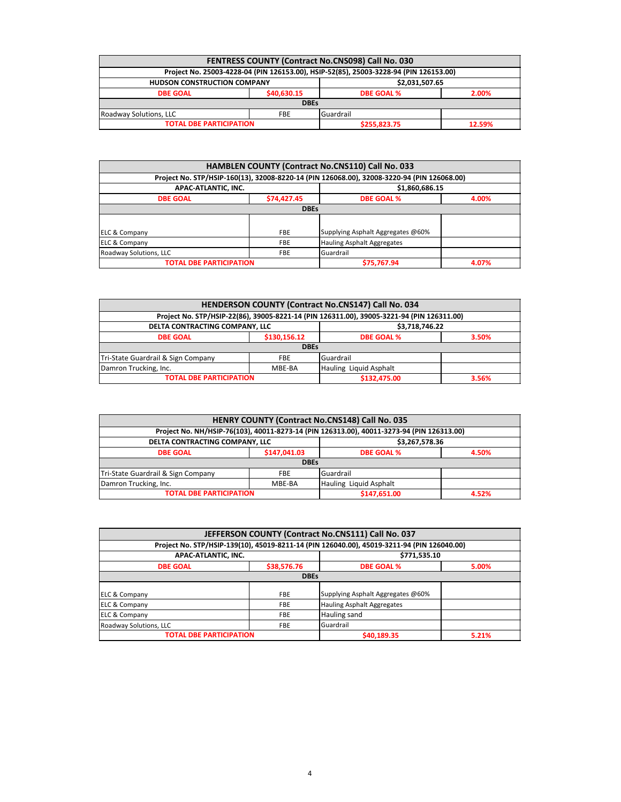| FENTRESS COUNTY (Contract No.CNS098) Call No. 030        |             |                                                                                       |  |  |  |
|----------------------------------------------------------|-------------|---------------------------------------------------------------------------------------|--|--|--|
|                                                          |             | Project No. 25003-4228-04 (PIN 126153.00), HSIP-52(85), 25003-3228-94 (PIN 126153.00) |  |  |  |
| \$2,031,507.65<br><b>HUDSON CONSTRUCTION COMPANY</b>     |             |                                                                                       |  |  |  |
| <b>DBE GOAL</b>                                          | \$40,630.15 | <b>DBE GOAL %</b><br>2.00%                                                            |  |  |  |
| <b>DBEs</b>                                              |             |                                                                                       |  |  |  |
| Guardrail<br>Roadway Solutions, LLC<br><b>FBE</b>        |             |                                                                                       |  |  |  |
| <b>TOTAL DBE PARTICIPATION</b><br>\$255,823.75<br>12.59% |             |                                                                                       |  |  |  |

| HAMBLEN COUNTY (Contract No.CNS110) Call No. 033             |             |                                                                                            |  |  |
|--------------------------------------------------------------|-------------|--------------------------------------------------------------------------------------------|--|--|
|                                                              |             | Project No. STP/HSIP-160(13), 32008-8220-14 (PIN 126068.00), 32008-3220-94 (PIN 126068.00) |  |  |
| APAC-ATLANTIC, INC.                                          |             | \$1,860,686.15                                                                             |  |  |
| \$74,427.45<br><b>DBE GOAL %</b><br>4.00%<br><b>DBE GOAL</b> |             |                                                                                            |  |  |
|                                                              | <b>DBEs</b> |                                                                                            |  |  |
|                                                              |             |                                                                                            |  |  |
| <b>ELC &amp; Company</b>                                     | <b>FBE</b>  | Supplying Asphalt Aggregates @60%                                                          |  |  |
| <b>ELC &amp; Company</b>                                     | <b>FBE</b>  | Hauling Asphalt Aggregates                                                                 |  |  |
| Roadway Solutions, LLC                                       | <b>FBE</b>  | Guardrail                                                                                  |  |  |
| <b>TOTAL DBE PARTICIPATION</b><br>\$75,767.94<br>4.07%       |             |                                                                                            |  |  |

| HENDERSON COUNTY (Contract No.CNS147) Call No. 034            |              |                                                                                           |  |  |
|---------------------------------------------------------------|--------------|-------------------------------------------------------------------------------------------|--|--|
|                                                               |              | Project No. STP/HSIP-22(86), 39005-8221-14 (PIN 126311.00), 39005-3221-94 (PIN 126311.00) |  |  |
| DELTA CONTRACTING COMPANY, LLC<br>\$3,718,746.22              |              |                                                                                           |  |  |
| \$130,156.12<br><b>DBE GOAL %</b><br><b>DBE GOAL</b><br>3.50% |              |                                                                                           |  |  |
|                                                               | <b>DBEs</b>  |                                                                                           |  |  |
| Tri-State Guardrail & Sign Company                            | <b>FBE</b>   | Guardrail                                                                                 |  |  |
| Damron Trucking, Inc.                                         | MBE-BA       | Hauling Liquid Asphalt                                                                    |  |  |
| <b>TOTAL DBE PARTICIPATION</b>                                | \$132,475.00 | 3.56%                                                                                     |  |  |

| HENRY COUNTY (Contract No.CNS148) Call No. 035            |                                            |                                                                                           |  |  |  |
|-----------------------------------------------------------|--------------------------------------------|-------------------------------------------------------------------------------------------|--|--|--|
|                                                           |                                            | Project No. NH/HSIP-76(103), 40011-8273-14 (PIN 126313.00), 40011-3273-94 (PIN 126313.00) |  |  |  |
| DELTA CONTRACTING COMPANY, LLC<br>\$3,267,578.36          |                                            |                                                                                           |  |  |  |
| <b>DBE GOAL</b>                                           | \$147,041.03<br><b>DBE GOAL %</b><br>4.50% |                                                                                           |  |  |  |
|                                                           | <b>DBEs</b>                                |                                                                                           |  |  |  |
| Tri-State Guardrail & Sign Company                        | <b>FBE</b>                                 | Guardrail                                                                                 |  |  |  |
| Damron Trucking, Inc.<br>Hauling Liquid Asphalt<br>MBE-BA |                                            |                                                                                           |  |  |  |
| <b>TOTAL DBE PARTICIPATION</b><br>\$147,651.00<br>4.52%   |                                            |                                                                                           |  |  |  |

| JEFFERSON COUNTY (Contract No.CNS111) Call No. 037           |                                                                                            |                                   |       |  |  |  |
|--------------------------------------------------------------|--------------------------------------------------------------------------------------------|-----------------------------------|-------|--|--|--|
|                                                              | Project No. STP/HSIP-139(10), 45019-8211-14 (PIN 126040.00), 45019-3211-94 (PIN 126040.00) |                                   |       |  |  |  |
| APAC-ATLANTIC, INC.                                          |                                                                                            | \$771,535.10                      |       |  |  |  |
| \$38,576.76<br><b>DBE GOAL %</b><br>5.00%<br><b>DBE GOAL</b> |                                                                                            |                                   |       |  |  |  |
| <b>DBEs</b>                                                  |                                                                                            |                                   |       |  |  |  |
| ELC & Company                                                | <b>FBE</b>                                                                                 | Supplying Asphalt Aggregates @60% |       |  |  |  |
| <b>ELC &amp; Company</b>                                     | <b>FBE</b>                                                                                 | <b>Hauling Asphalt Aggregates</b> |       |  |  |  |
| <b>ELC &amp; Company</b>                                     | <b>FBE</b>                                                                                 | Hauling sand                      |       |  |  |  |
| Roadway Solutions, LLC<br>Guardrail<br><b>FBE</b>            |                                                                                            |                                   |       |  |  |  |
| <b>TOTAL DBE PARTICIPATION</b>                               |                                                                                            | \$40,189.35                       | 5.21% |  |  |  |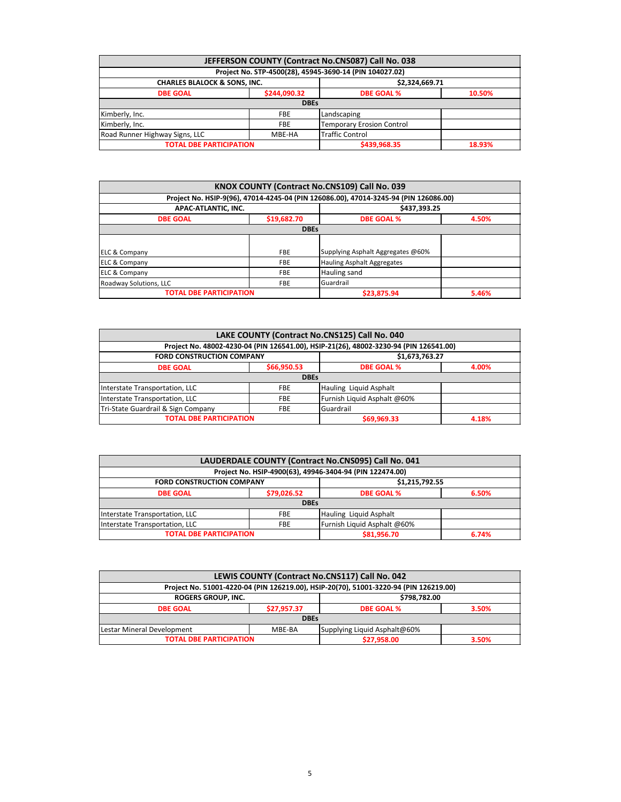| JEFFERSON COUNTY (Contract No.CNS087) Call No. 038                 |              |                                                         |        |  |  |
|--------------------------------------------------------------------|--------------|---------------------------------------------------------|--------|--|--|
|                                                                    |              | Project No. STP-4500(28), 45945-3690-14 (PIN 104027.02) |        |  |  |
| <b>CHARLES BLALOCK &amp; SONS, INC.</b><br>\$2,324,669.71          |              |                                                         |        |  |  |
| <b>DBE GOAL</b>                                                    | \$244,090.32 | <b>DBE GOAL %</b><br>10.50%                             |        |  |  |
|                                                                    | <b>DBEs</b>  |                                                         |        |  |  |
| Kimberly, Inc.                                                     | <b>FBE</b>   | Landscaping                                             |        |  |  |
| Kimberly, Inc.                                                     | <b>FBE</b>   | <b>Temporary Erosion Control</b>                        |        |  |  |
| <b>Traffic Control</b><br>Road Runner Highway Signs, LLC<br>MBE-HA |              |                                                         |        |  |  |
| <b>TOTAL DBE PARTICIPATION</b>                                     |              | \$439,968.35                                            | 18.93% |  |  |

|                                |             | KNOX COUNTY (Contract No.CNS109) Call No. 039                                        |       |
|--------------------------------|-------------|--------------------------------------------------------------------------------------|-------|
|                                |             | Project No. HSIP-9(96), 47014-4245-04 (PIN 126086.00), 47014-3245-94 (PIN 126086.00) |       |
| APAC-ATLANTIC, INC.            |             | \$437,393.25                                                                         |       |
| <b>DBE GOAL</b>                | \$19,682.70 | <b>DBE GOAL %</b>                                                                    |       |
|                                | <b>DBEs</b> |                                                                                      |       |
|                                |             |                                                                                      |       |
| <b>ELC &amp; Company</b>       | <b>FBE</b>  | Supplying Asphalt Aggregates @60%                                                    |       |
| ELC & Company                  | <b>FBE</b>  | <b>Hauling Asphalt Aggregates</b>                                                    |       |
| <b>ELC &amp; Company</b>       | <b>FBE</b>  | Hauling sand                                                                         |       |
| Roadway Solutions, LLC         | <b>FBE</b>  | Guardrail                                                                            |       |
| <b>TOTAL DBE PARTICIPATION</b> |             | \$23,875.94                                                                          | 5.46% |

| LAKE COUNTY (Contract No.CNS125) Call No. 040                 |             |                                                                                       |  |  |  |
|---------------------------------------------------------------|-------------|---------------------------------------------------------------------------------------|--|--|--|
|                                                               |             | Project No. 48002-4230-04 (PIN 126541.00), HSIP-21(26), 48002-3230-94 (PIN 126541.00) |  |  |  |
| \$1,673,763.27<br><b>FORD CONSTRUCTION COMPANY</b>            |             |                                                                                       |  |  |  |
| <b>DBE GOAL</b>                                               | \$66,950.53 | <b>DBE GOAL %</b><br>4.00%                                                            |  |  |  |
|                                                               | <b>DBEs</b> |                                                                                       |  |  |  |
| Interstate Transportation, LLC                                | <b>FBE</b>  | Hauling Liquid Asphalt                                                                |  |  |  |
| Interstate Transportation, LLC                                | <b>FBE</b>  | Furnish Liquid Asphalt @60%                                                           |  |  |  |
| Tri-State Guardrail & Sign Company<br>Guardrail<br><b>FBE</b> |             |                                                                                       |  |  |  |
| <b>TOTAL DBE PARTICIPATION</b><br>\$69,969.33<br>4.18%        |             |                                                                                       |  |  |  |

| LAUDERDALE COUNTY (Contract No.CNS095) Call No. 041                  |                                                          |                        |       |  |  |  |
|----------------------------------------------------------------------|----------------------------------------------------------|------------------------|-------|--|--|--|
|                                                                      | Project No. HSIP-4900(63), 49946-3404-94 (PIN 122474.00) |                        |       |  |  |  |
| \$1,215,792.55<br><b>FORD CONSTRUCTION COMPANY</b>                   |                                                          |                        |       |  |  |  |
| <b>DBE GOAL</b>                                                      | \$79,026.52<br><b>DBE GOAL %</b>                         |                        | 6.50% |  |  |  |
|                                                                      | <b>DBEs</b>                                              |                        |       |  |  |  |
| Interstate Transportation, LLC                                       | <b>FBE</b>                                               | Hauling Liquid Asphalt |       |  |  |  |
| Furnish Liquid Asphalt @60%<br>Interstate Transportation, LLC<br>FBE |                                                          |                        |       |  |  |  |
| <b>TOTAL DBE PARTICIPATION</b><br>\$81,956.70<br>6.74%               |                                                          |                        |       |  |  |  |

| LEWIS COUNTY (Contract No.CNS117) Call No. 042                       |  |                                                                                       |       |  |
|----------------------------------------------------------------------|--|---------------------------------------------------------------------------------------|-------|--|
|                                                                      |  | Project No. 51001-4220-04 (PIN 126219.00), HSIP-20(70), 51001-3220-94 (PIN 126219.00) |       |  |
| <b>ROGERS GROUP, INC.</b><br>\$798,782.00                            |  |                                                                                       |       |  |
| \$27,957.37<br><b>DBE GOAL %</b><br><b>DBE GOAL</b>                  |  |                                                                                       | 3.50% |  |
| <b>DBEs</b>                                                          |  |                                                                                       |       |  |
| Lestar Mineral Development<br>Supplying Liquid Asphalt@60%<br>MBE-BA |  |                                                                                       |       |  |
| <b>TOTAL DBE PARTICIPATION</b><br>\$27,958.00<br>3.50%               |  |                                                                                       |       |  |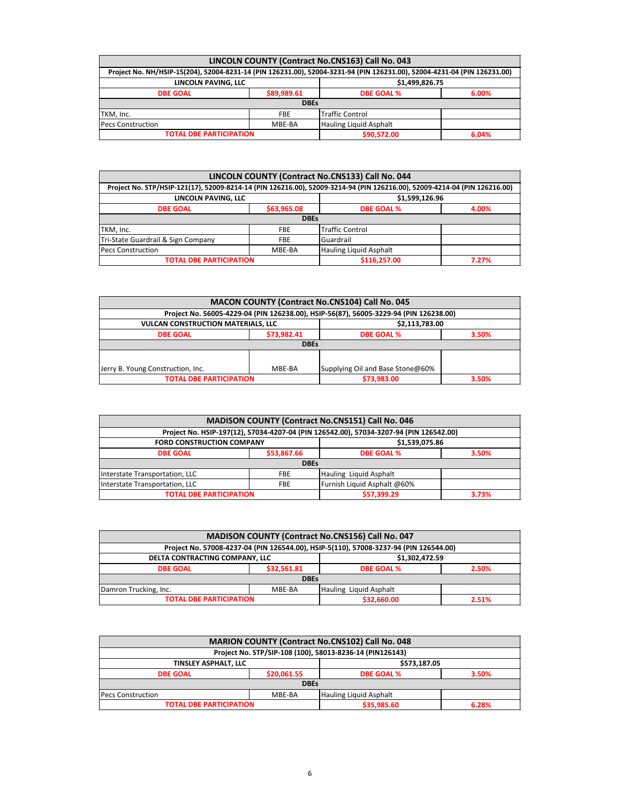| LINCOLN COUNTY (Contract No.CNS163) Call No. 043                                                                         |             |                               |  |  |
|--------------------------------------------------------------------------------------------------------------------------|-------------|-------------------------------|--|--|
| Project No. NH/HSIP-15(204), 52004-8231-14 (PIN 126231.00), 52004-3231-94 (PIN 126231.00), 52004-4231-04 (PIN 126231.00) |             |                               |  |  |
| LINCOLN PAVING, LLC<br>\$1,499,826.75                                                                                    |             |                               |  |  |
| \$89,989.61<br><b>DBE GOAL</b><br><b>DBE GOAL %</b><br>6.00%                                                             |             |                               |  |  |
|                                                                                                                          | <b>DBEs</b> |                               |  |  |
| TKM, Inc.                                                                                                                | <b>FBE</b>  | <b>Traffic Control</b>        |  |  |
| <b>Pecs Construction</b>                                                                                                 | MBE-BA      | <b>Hauling Liquid Asphalt</b> |  |  |
| <b>TOTAL DBE PARTICIPATION</b><br>\$90,572.00<br>6.04%                                                                   |             |                               |  |  |

| LINCOLN COUNTY (Contract No.CNS133) Call No. 044                                                                          |             |                            |  |  |
|---------------------------------------------------------------------------------------------------------------------------|-------------|----------------------------|--|--|
| Project No. STP/HSIP-121(17), 52009-8214-14 (PIN 126216.00), 52009-3214-94 (PIN 126216.00), 52009-4214-04 (PIN 126216.00) |             |                            |  |  |
| \$1,599,126.96<br>LINCOLN PAVING, LLC                                                                                     |             |                            |  |  |
| <b>DBE GOAL</b>                                                                                                           | \$63,965.08 | <b>DBE GOAL %</b><br>4.00% |  |  |
|                                                                                                                           | <b>DBEs</b> |                            |  |  |
| TKM, Inc.                                                                                                                 | <b>FBE</b>  | <b>Traffic Control</b>     |  |  |
| Tri-State Guardrail & Sign Company                                                                                        | <b>FBE</b>  | Guardrail                  |  |  |
| <b>Pecs Construction</b>                                                                                                  | MBE-BA      | Hauling Liquid Asphalt     |  |  |
| <b>TOTAL DBE PARTICIPATION</b><br>\$116,257.00<br>7.27%                                                                   |             |                            |  |  |

| <b>MACON COUNTY (Contract No.CNS104) Call No. 045</b>                           |             |                                                                                       |  |  |  |
|---------------------------------------------------------------------------------|-------------|---------------------------------------------------------------------------------------|--|--|--|
|                                                                                 |             | Project No. 56005-4229-04 (PIN 126238.00), HSIP-56(87), 56005-3229-94 (PIN 126238.00) |  |  |  |
| \$2,113,783.00<br><b>VULCAN CONSTRUCTION MATERIALS, LLC</b>                     |             |                                                                                       |  |  |  |
| \$73,982.41<br><b>DBE GOAL %</b><br><b>DBE GOAL</b><br>3.50%                    |             |                                                                                       |  |  |  |
|                                                                                 | <b>DBEs</b> |                                                                                       |  |  |  |
|                                                                                 |             |                                                                                       |  |  |  |
| Supplying Oil and Base Stone@60%<br>Jerry B. Young Construction, Inc.<br>MBE-BA |             |                                                                                       |  |  |  |
| <b>TOTAL DBE PARTICIPATION</b><br>\$73,983.00<br>3.50%                          |             |                                                                                       |  |  |  |

| MADISON COUNTY (Contract No.CNS151) Call No. 046                            |             |                                                                                        |       |  |  |
|-----------------------------------------------------------------------------|-------------|----------------------------------------------------------------------------------------|-------|--|--|
|                                                                             |             | Project No. HSIP-197(12), 57034-4207-04 (PIN 126542.00), 57034-3207-94 (PIN 126542.00) |       |  |  |
| \$1,539,075.86<br><b>FORD CONSTRUCTION COMPANY</b>                          |             |                                                                                        |       |  |  |
| <b>DBE GOAL</b>                                                             | \$53,867.66 | <b>DBE GOAL %</b>                                                                      | 3.50% |  |  |
|                                                                             | <b>DBEs</b> |                                                                                        |       |  |  |
| Interstate Transportation, LLC                                              | <b>FBE</b>  | Hauling Liquid Asphalt                                                                 |       |  |  |
| Furnish Liquid Asphalt @60%<br>Interstate Transportation, LLC<br><b>FBE</b> |             |                                                                                        |       |  |  |
| <b>TOTAL DBE PARTICIPATION</b>                                              |             | \$57,399.29                                                                            | 3.73% |  |  |

| MADISON COUNTY (Contract No.CNS156) Call No. 047          |             |                                                                                       |       |  |  |
|-----------------------------------------------------------|-------------|---------------------------------------------------------------------------------------|-------|--|--|
|                                                           |             | Project No. 57008-4237-04 (PIN 126544.00), HSIP-5(110), 57008-3237-94 (PIN 126544.00) |       |  |  |
| DELTA CONTRACTING COMPANY, LLC<br>\$1,302,472.59          |             |                                                                                       |       |  |  |
| <b>DBE GOAL</b>                                           | \$32,561.81 | <b>DBE GOAL %</b><br>2.50%                                                            |       |  |  |
| <b>DBEs</b>                                               |             |                                                                                       |       |  |  |
| Damron Trucking, Inc.<br>Hauling Liquid Asphalt<br>MBE-BA |             |                                                                                       |       |  |  |
| <b>TOTAL DBE PARTICIPATION</b>                            |             | \$32,660.00                                                                           | 2.51% |  |  |

| MARION COUNTY (Contract No.CNS102) Call No. 048              |                                                          |                            |  |  |  |
|--------------------------------------------------------------|----------------------------------------------------------|----------------------------|--|--|--|
|                                                              | Project No. STP/SIP-108 (100), 58013-8236-14 (PIN126143) |                            |  |  |  |
| \$573,187.05<br>TINSLEY ASPHALT, LLC                         |                                                          |                            |  |  |  |
| <b>DBE GOAL</b>                                              | \$20,061.55                                              | <b>DBE GOAL %</b><br>3.50% |  |  |  |
| <b>DBEs</b>                                                  |                                                          |                            |  |  |  |
| Hauling Liquid Asphalt<br>MBE-BA<br><b>Pecs Construction</b> |                                                          |                            |  |  |  |
| \$35,985.60<br><b>TOTAL DBE PARTICIPATION</b><br>6.28%       |                                                          |                            |  |  |  |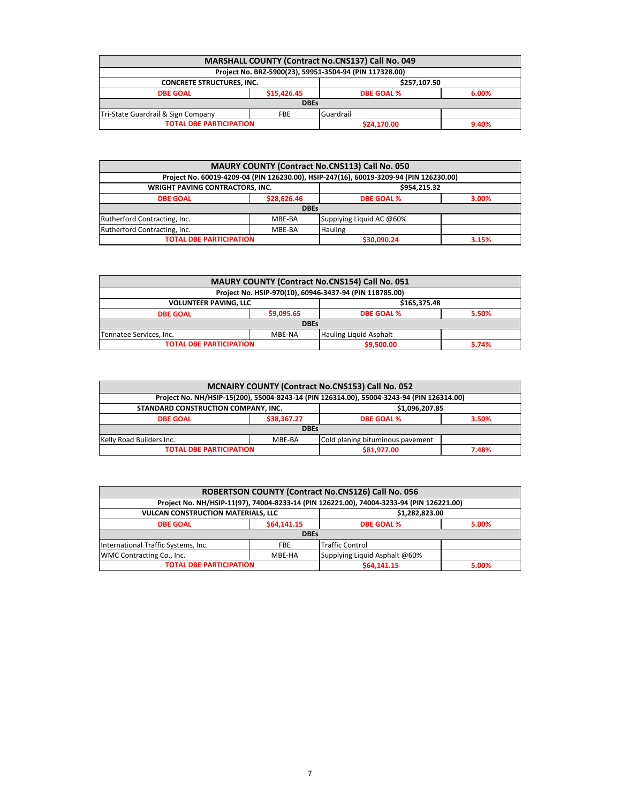| <b>MARSHALL COUNTY (Contract No.CNS137) Call No. 049</b> |                                           |                                                         |  |  |
|----------------------------------------------------------|-------------------------------------------|---------------------------------------------------------|--|--|
|                                                          |                                           | Project No. BRZ-5900(23), 59951-3504-94 (PIN 117328.00) |  |  |
| <b>CONCRETE STRUCTURES, INC.</b><br>\$257.107.50         |                                           |                                                         |  |  |
| <b>DBE GOAL</b>                                          | \$15,426.45<br><b>DBE GOAL %</b><br>6.00% |                                                         |  |  |
| <b>DBEs</b>                                              |                                           |                                                         |  |  |
| Guardrail<br>Tri-State Guardrail & Sign Company<br>FBE   |                                           |                                                         |  |  |
| <b>TOTAL DBE PARTICIPATION</b><br>\$24,170.00<br>9.40%   |                                           |                                                         |  |  |

| <b>MAURY COUNTY (Contract No.CNS113) Call No. 050</b>    |                                                                                        |                          |  |  |  |
|----------------------------------------------------------|----------------------------------------------------------------------------------------|--------------------------|--|--|--|
|                                                          | Project No. 60019-4209-04 (PIN 126230.00), HSIP-247(16), 60019-3209-94 (PIN 126230.00) |                          |  |  |  |
| <b>WRIGHT PAVING CONTRACTORS, INC.</b><br>\$954.215.32   |                                                                                        |                          |  |  |  |
| <b>DBE GOAL</b>                                          | <b>DBE GOAL %</b>                                                                      | 3.00%                    |  |  |  |
|                                                          | <b>DBEs</b>                                                                            |                          |  |  |  |
| Rutherford Contracting, Inc.                             | MBE-BA                                                                                 | Supplying Liquid AC @60% |  |  |  |
| Rutherford Contracting, Inc.<br><b>Hauling</b><br>MBE-BA |                                                                                        |                          |  |  |  |
| <b>TOTAL DBE PARTICIPATION</b><br>\$30,090.24<br>3.15%   |                                                                                        |                          |  |  |  |

| MAURY COUNTY (Contract No.CNS154) Call No. 051                     |  |            |       |  |  |
|--------------------------------------------------------------------|--|------------|-------|--|--|
| Project No. HSIP-970(10), 60946-3437-94 (PIN 118785.00)            |  |            |       |  |  |
| \$165,375,48<br><b>VOLUNTEER PAVING, LLC</b>                       |  |            |       |  |  |
| \$9,095.65<br><b>DBE GOAL %</b><br>5.50%<br><b>DBE GOAL</b>        |  |            |       |  |  |
| <b>DBEs</b>                                                        |  |            |       |  |  |
| <b>Hauling Liquid Asphalt</b><br>Tennatee Services, Inc.<br>MBE-NA |  |            |       |  |  |
| <b>TOTAL DBE PARTICIPATION</b>                                     |  | \$9,500.00 | 5.74% |  |  |

| MCNAIRY COUNTY (Contract No.CNS153) Call No. 052                       |                                                                                           |                   |       |  |  |
|------------------------------------------------------------------------|-------------------------------------------------------------------------------------------|-------------------|-------|--|--|
|                                                                        | Project No. NH/HSIP-15(200), 55004-8243-14 (PIN 126314.00), 55004-3243-94 (PIN 126314.00) |                   |       |  |  |
| \$1,096,207.85<br>STANDARD CONSTRUCTION COMPANY, INC.                  |                                                                                           |                   |       |  |  |
| <b>DBE GOAL</b>                                                        | \$38,367.27                                                                               | <b>DBE GOAL %</b> | 3.50% |  |  |
| <b>DBEs</b>                                                            |                                                                                           |                   |       |  |  |
| Kelly Road Builders Inc.<br>Cold planing bituminous pavement<br>MBE-BA |                                                                                           |                   |       |  |  |
| <b>TOTAL DBE PARTICIPATION</b><br>\$81,977.00<br>7.48%                 |                                                                                           |                   |       |  |  |

| ROBERTSON COUNTY (Contract No.CNS126) Call No. 056                   |             |                                                                                          |       |  |  |
|----------------------------------------------------------------------|-------------|------------------------------------------------------------------------------------------|-------|--|--|
|                                                                      |             | Project No. NH/HSIP-11(97), 74004-8233-14 (PIN 126221.00), 74004-3233-94 (PIN 126221.00) |       |  |  |
| \$1,282,823.00<br><b>VULCAN CONSTRUCTION MATERIALS, LLC</b>          |             |                                                                                          |       |  |  |
| <b>DBE GOAL</b>                                                      | \$64,141.15 | <b>DBE GOAL %</b>                                                                        | 5.00% |  |  |
|                                                                      | <b>DBEs</b> |                                                                                          |       |  |  |
| International Traffic Systems, Inc.                                  | <b>FBE</b>  | <b>Traffic Control</b>                                                                   |       |  |  |
| WMC Contracting Co., Inc.<br>Supplying Liquid Asphalt @60%<br>MBE-HA |             |                                                                                          |       |  |  |
| <b>TOTAL DBE PARTICIPATION</b>                                       |             | \$64,141.15                                                                              | 5.00% |  |  |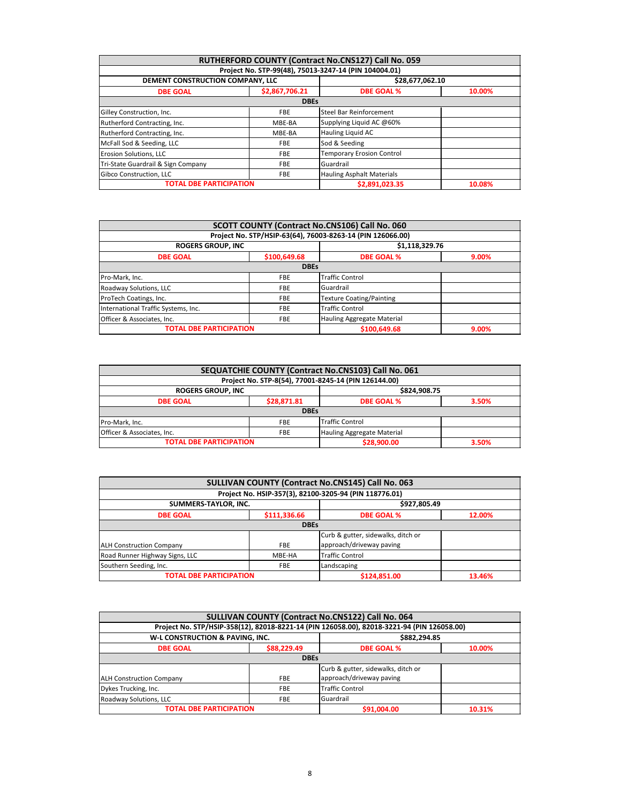| RUTHERFORD COUNTY (Contract No.CNS127) Call No. 059 |                |                                                       |        |  |  |  |
|-----------------------------------------------------|----------------|-------------------------------------------------------|--------|--|--|--|
|                                                     |                | Project No. STP-99(48), 75013-3247-14 (PIN 104004.01) |        |  |  |  |
| DEMENT CONSTRUCTION COMPANY, LLC<br>\$28,677,062.10 |                |                                                       |        |  |  |  |
| <b>DBE GOAL</b>                                     | \$2,867,706.21 | <b>DBE GOAL %</b>                                     | 10.00% |  |  |  |
|                                                     | <b>DBEs</b>    |                                                       |        |  |  |  |
| Gilley Construction, Inc.                           | <b>FBE</b>     | Steel Bar Reinforcement                               |        |  |  |  |
| Rutherford Contracting, Inc.                        | MBE-BA         | Supplying Liquid AC @60%                              |        |  |  |  |
| Rutherford Contracting, Inc.                        | MBE-BA         | <b>Hauling Liquid AC</b>                              |        |  |  |  |
| McFall Sod & Seeding, LLC                           | <b>FBE</b>     | Sod & Seeding                                         |        |  |  |  |
| Erosion Solutions, LLC                              | <b>FBE</b>     | <b>Temporary Erosion Control</b>                      |        |  |  |  |
| Tri-State Guardrail & Sign Company                  | <b>FBE</b>     | Guardrail                                             |        |  |  |  |
| Gibco Construction, LLC                             | <b>FBE</b>     | <b>Hauling Asphalt Materials</b>                      |        |  |  |  |
| <b>TOTAL DBE PARTICIPATION</b>                      |                | \$2,891,023.35                                        | 10.08% |  |  |  |

| SCOTT COUNTY (Contract No.CNS106) Call No. 060                                |                                                            |                                 |       |  |  |
|-------------------------------------------------------------------------------|------------------------------------------------------------|---------------------------------|-------|--|--|
|                                                                               | Project No. STP/HSIP-63(64), 76003-8263-14 (PIN 126066.00) |                                 |       |  |  |
| <b>ROGERS GROUP, INC</b>                                                      | \$1,118,329.76                                             |                                 |       |  |  |
| <b>DBE GOAL</b>                                                               | \$100,649.68                                               | <b>DBE GOAL %</b>               | 9.00% |  |  |
| <b>DBEs</b>                                                                   |                                                            |                                 |       |  |  |
| Pro-Mark, Inc.                                                                | <b>FBE</b>                                                 | <b>Traffic Control</b>          |       |  |  |
| Roadway Solutions, LLC                                                        | <b>FBE</b>                                                 | Guardrail                       |       |  |  |
| ProTech Coatings, Inc.                                                        | <b>FBE</b>                                                 | <b>Texture Coating/Painting</b> |       |  |  |
| International Traffic Systems, Inc.                                           | <b>FBE</b>                                                 | <b>Traffic Control</b>          |       |  |  |
| <b>Hauling Aggregate Material</b><br>Officer & Associates, Inc.<br><b>FBE</b> |                                                            |                                 |       |  |  |
|                                                                               | <b>TOTAL DBE PARTICIPATION</b><br>\$100.649.68<br>9.00%    |                                 |       |  |  |

|                                                                        |             | SEQUATCHIE COUNTY (Contract No.CNS103) Call No. 061  |       |  |
|------------------------------------------------------------------------|-------------|------------------------------------------------------|-------|--|
|                                                                        |             | Project No. STP-8(54), 77001-8245-14 (PIN 126144.00) |       |  |
| \$824,908.75<br><b>ROGERS GROUP, INC</b>                               |             |                                                      |       |  |
| \$28,871.81<br><b>DBE GOAL %</b><br><b>DBE GOAL</b>                    |             |                                                      | 3.50% |  |
|                                                                        | <b>DBEs</b> |                                                      |       |  |
| Pro-Mark, Inc.                                                         | <b>FBE</b>  | <b>Traffic Control</b>                               |       |  |
| Hauling Aggregate Material<br>Officer & Associates, Inc.<br><b>FBE</b> |             |                                                      |       |  |
| <b>TOTAL DBE PARTICIPATION</b>                                         |             | \$28,900.00                                          | 3.50% |  |

| SULLIVAN COUNTY (Contract No.CNS145) Call No. 063 |              |                                                        |        |  |
|---------------------------------------------------|--------------|--------------------------------------------------------|--------|--|
|                                                   |              | Project No. HSIP-357(3), 82100-3205-94 (PIN 118776.01) |        |  |
| \$927,805.49<br>SUMMERS-TAYLOR, INC.              |              |                                                        |        |  |
| <b>DBE GOAL</b>                                   | \$111,336.66 | <b>DBE GOAL %</b><br>12.00%                            |        |  |
| <b>DBEs</b>                                       |              |                                                        |        |  |
|                                                   |              | Curb & gutter, sidewalks, ditch or                     |        |  |
| <b>ALH Construction Company</b>                   | <b>FBE</b>   | approach/driveway paving                               |        |  |
| Road Runner Highway Signs, LLC                    | MBE-HA       | <b>Traffic Control</b>                                 |        |  |
| Southern Seeding, Inc.                            | <b>FBE</b>   | Landscaping                                            |        |  |
| <b>TOTAL DBE PARTICIPATION</b>                    |              | \$124,851.00                                           | 13.46% |  |

| SULLIVAN COUNTY (Contract No.CNS122) Call No. 064 |             |                                                                                            |              |  |
|---------------------------------------------------|-------------|--------------------------------------------------------------------------------------------|--------------|--|
|                                                   |             | Project No. STP/HSIP-358(12), 82018-8221-14 (PIN 126058.00), 82018-3221-94 (PIN 126058.00) |              |  |
| W-L CONSTRUCTION & PAVING, INC.                   |             |                                                                                            | \$882,294.85 |  |
| <b>DBE GOAL</b>                                   | \$88,229.49 | <b>DBE GOAL %</b><br>10.00%                                                                |              |  |
| <b>DBEs</b>                                       |             |                                                                                            |              |  |
|                                                   |             | Curb & gutter, sidewalks, ditch or                                                         |              |  |
| <b>ALH Construction Company</b>                   | <b>FBE</b>  | approach/driveway paving                                                                   |              |  |
| Dykes Trucking, Inc.                              | <b>FBE</b>  | <b>Traffic Control</b>                                                                     |              |  |
| Roadway Solutions, LLC                            | <b>FBE</b>  | Guardrail                                                                                  |              |  |
| <b>TOTAL DBE PARTICIPATION</b>                    |             | \$91,004.00                                                                                | 10.31%       |  |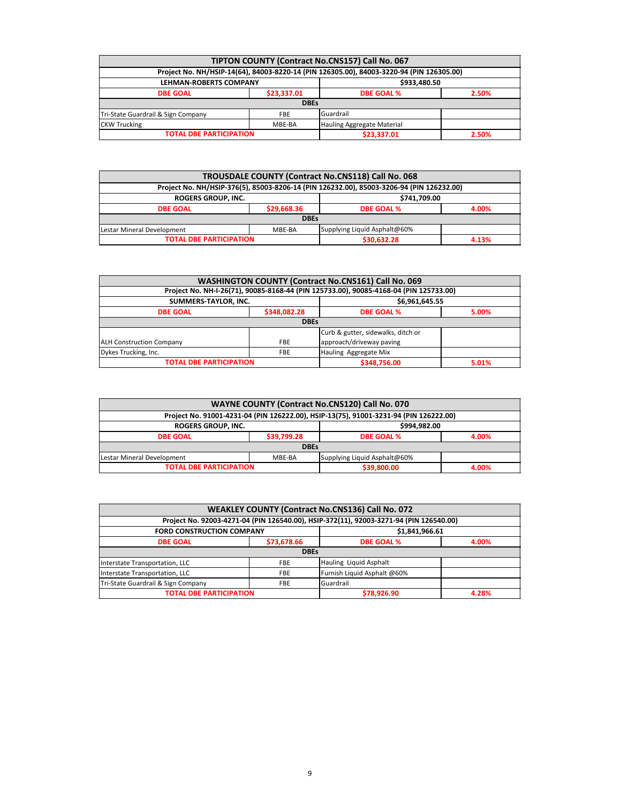| TIPTON COUNTY (Contract No.CNS157) Call No. 067                                          |             |                            |       |  |
|------------------------------------------------------------------------------------------|-------------|----------------------------|-------|--|
| Project No. NH/HSIP-14(64), 84003-8220-14 (PIN 126305.00), 84003-3220-94 (PIN 126305.00) |             |                            |       |  |
| \$933,480.50<br><b>LEHMAN-ROBERTS COMPANY</b>                                            |             |                            |       |  |
| <b>DBE GOAL</b>                                                                          | \$23,337.01 | <b>DBE GOAL %</b>          | 2.50% |  |
| <b>DBEs</b>                                                                              |             |                            |       |  |
| Tri-State Guardrail & Sign Company                                                       | <b>FBE</b>  | Guardrail                  |       |  |
| <b>CKW Trucking</b>                                                                      | MBE-BA      | Hauling Aggregate Material |       |  |
| <b>TOTAL DBE PARTICIPATION</b>                                                           |             | \$23,337.01                | 2.50% |  |

| TROUSDALE COUNTY (Contract No.CNS118) Call No. 068                                       |             |                              |       |
|------------------------------------------------------------------------------------------|-------------|------------------------------|-------|
| Project No. NH/HSIP-376(5), 85003-8206-14 (PIN 126232.00), 85003-3206-94 (PIN 126232.00) |             |                              |       |
| ROGERS GROUP, INC.<br>\$741,709.00                                                       |             |                              |       |
| <b>DBE GOAL</b>                                                                          | \$29,668.36 | <b>DBE GOAL %</b>            | 4.00% |
| <b>DBEs</b>                                                                              |             |                              |       |
| Lestar Mineral Development                                                               | MBE-BA      | Supplying Liquid Asphalt@60% |       |
| <b>TOTAL DBE PARTICIPATION</b>                                                           |             | \$30,632.28                  | 4.13% |

| <b>WASHINGTON COUNTY (Contract No.CNS161) Call No. 069</b>                            |              |                                    |  |  |
|---------------------------------------------------------------------------------------|--------------|------------------------------------|--|--|
| Project No. NH-I-26(71), 90085-8168-44 (PIN 125733.00), 90085-4168-04 (PIN 125733.00) |              |                                    |  |  |
| SUMMERS-TAYLOR, INC.<br>\$6,961,645.55                                                |              |                                    |  |  |
| <b>DBE GOAL</b>                                                                       | \$348,082.28 | <b>DBE GOAL %</b><br>5.00%         |  |  |
| <b>DBEs</b>                                                                           |              |                                    |  |  |
|                                                                                       |              | Curb & gutter, sidewalks, ditch or |  |  |
| <b>ALH Construction Company</b>                                                       | <b>FBE</b>   | approach/driveway paving           |  |  |
| Dykes Trucking, Inc.                                                                  | <b>FBE</b>   | Hauling Aggregate Mix              |  |  |
| <b>TOTAL DBE PARTICIPATION</b>                                                        | \$348,756.00 | 5.01%                              |  |  |

| <b>WAYNE COUNTY (Contract No.CNS120) Call No. 070</b>                                 |             |                              |       |  |
|---------------------------------------------------------------------------------------|-------------|------------------------------|-------|--|
| Project No. 91001-4231-04 (PIN 126222.00), HSIP-13(75), 91001-3231-94 (PIN 126222.00) |             |                              |       |  |
| <b>ROGERS GROUP, INC.</b><br>\$994.982.00                                             |             |                              |       |  |
| <b>DBE GOAL</b>                                                                       | \$39,799.28 | <b>DBE GOAL %</b>            | 4.00% |  |
| <b>DBEs</b>                                                                           |             |                              |       |  |
| Lestar Mineral Development                                                            | MBE-BA      | Supplying Liquid Asphalt@60% |       |  |
| <b>TOTAL DBE PARTICIPATION</b>                                                        |             | \$39,800.00                  | 4.00% |  |

| WEAKLEY COUNTY (Contract No.CNS136) Call No. 072                                       |             |                             |       |  |
|----------------------------------------------------------------------------------------|-------------|-----------------------------|-------|--|
| Project No. 92003-4271-04 (PIN 126540.00), HSIP-372(11), 92003-3271-94 (PIN 126540.00) |             |                             |       |  |
| <b>FORD CONSTRUCTION COMPANY</b><br>\$1,841,966.61                                     |             |                             |       |  |
| <b>DBE GOAL</b>                                                                        | \$73,678.66 | <b>DBE GOAL %</b>           | 4.00% |  |
| <b>DBEs</b>                                                                            |             |                             |       |  |
| Interstate Transportation, LLC                                                         | <b>FBE</b>  | Hauling Liquid Asphalt      |       |  |
| Interstate Transportation, LLC                                                         | <b>FBE</b>  | Furnish Liquid Asphalt @60% |       |  |
| Tri-State Guardrail & Sign Company                                                     | <b>FBE</b>  | Guardrail                   |       |  |
| <b>TOTAL DBE PARTICIPATION</b>                                                         |             | \$78.926.90                 | 4.28% |  |